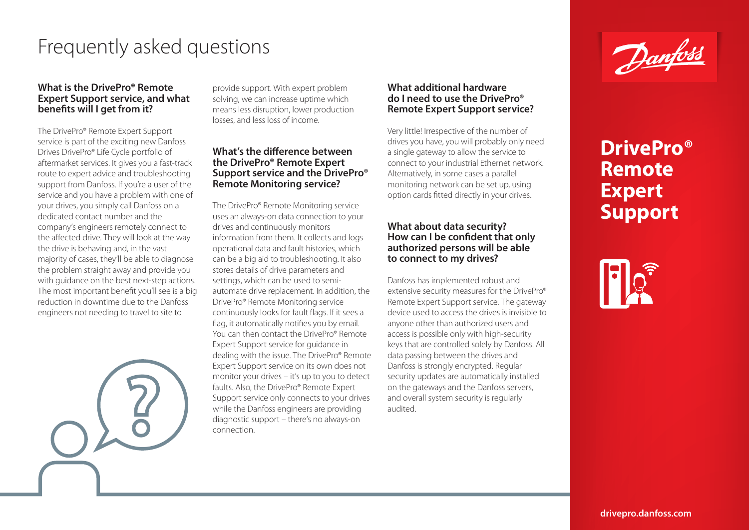# Frequently asked questions

### **What is the DrivePro® Remote Expert Support service, and what benefits will I get from it?**

The DrivePro® Remote Expert Support service is part of the exciting new Danfoss Drives DrivePro® Life Cycle portfolio of aftermarket services. It gives you a fast-track route to expert advice and troubleshooting support from Danfoss. If you're a user of the service and you have a problem with one of your drives, you simply call Danfoss on a dedicated contact number and the company's engineers remotely connect to the affected drive. They will look at the way the drive is behaving and, in the vast majority of cases, they'll be able to diagnose the problem straight away and provide you with guidance on the best next-step actions. The most important benefit you'll see is a big reduction in downtime due to the Danfoss engineers not needing to travel to site to

provide support. With expert problem solving, we can increase uptime which means less disruption, lower production losses, and less loss of income.

### **What's the difference between the DrivePro® Remote Expert Support service and the DrivePro® Remote Monitoring service?**

The DrivePro® Remote Monitoring service uses an always-on data connection to your drives and continuously monitors information from them. It collects and logs operational data and fault histories, which can be a big aid to troubleshooting. It also stores details of drive parameters and settings, which can be used to semiautomate drive replacement. In addition, the DrivePro® Remote Monitoring service continuously looks for fault flags. If it sees a flag, it automatically notifies you by email. You can then contact the DrivePro® Remote Expert Support service for guidance in dealing with the issue. The DrivePro® Remote Expert Support service on its own does not monitor your drives – it's up to you to detect faults. Also, the DrivePro® Remote Expert Support service only connects to your drives while the Danfoss engineers are providing diagnostic support – there's no always-on connection.

### **What additional hardware do I need to use the DrivePro® Remote Expert Support service?**

Very little! Irrespective of the number of drives you have, you will probably only need a single gateway to allow the service to connect to your industrial Ethernet network. Alternatively, in some cases a parallel monitoring network can be set up, using option cards fitted directly in your drives.

### **What about data security? How can I be confident that only authorized persons will be able to connect to my drives?**

Danfoss has implemented robust and extensive security measures for the DrivePro® Remote Expert Support service. The gateway device used to access the drives is invisible to anyone other than authorized users and access is possible only with high-security keys that are controlled solely by Danfoss. All data passing between the drives and Danfoss is strongly encrypted. Regular security updates are automatically installed on the gateways and the Danfoss servers, and overall system security is regularly audited.



# **DrivePro® Remote Expert Support**